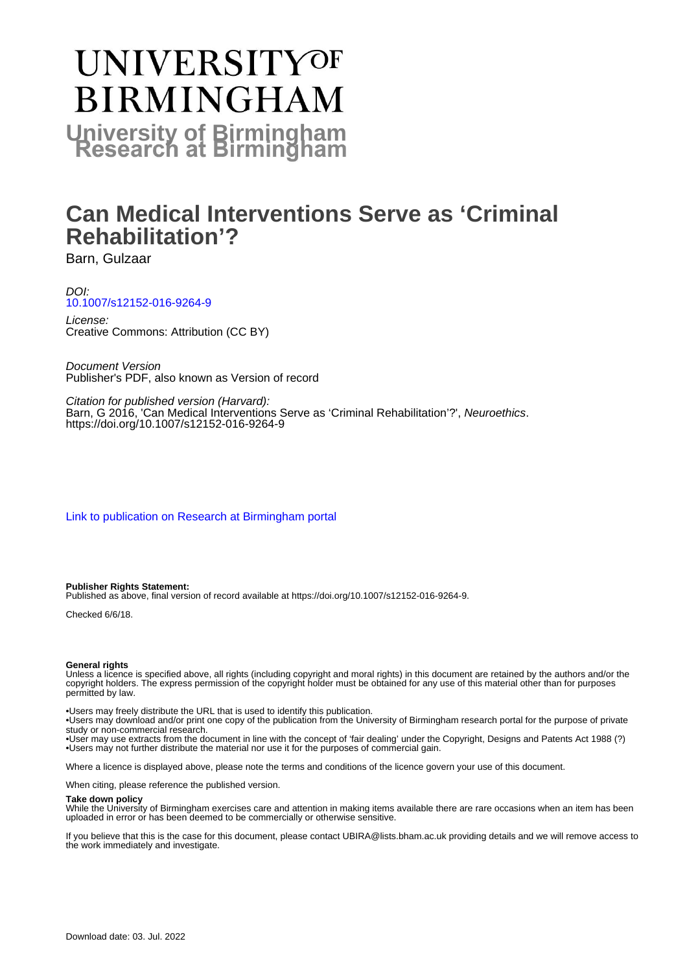# **UNIVERSITYOF BIRMINGHAM University of Birmingham**

## **Can Medical Interventions Serve as 'Criminal Rehabilitation'?**

Barn, Gulzaar

#### DOI: [10.1007/s12152-016-9264-9](https://doi.org/10.1007/s12152-016-9264-9)

License: Creative Commons: Attribution (CC BY)

Document Version Publisher's PDF, also known as Version of record

Citation for published version (Harvard): Barn, G 2016, 'Can Medical Interventions Serve as 'Criminal Rehabilitation'?', Neuroethics. <https://doi.org/10.1007/s12152-016-9264-9>

[Link to publication on Research at Birmingham portal](https://birmingham.elsevierpure.com/en/publications/b05183ab-1714-408c-8a70-3c331004452d)

#### **Publisher Rights Statement:**

Published as above, final version of record available at https://doi.org/10.1007/s12152-016-9264-9.

Checked 6/6/18.

#### **General rights**

Unless a licence is specified above, all rights (including copyright and moral rights) in this document are retained by the authors and/or the copyright holders. The express permission of the copyright holder must be obtained for any use of this material other than for purposes permitted by law.

• Users may freely distribute the URL that is used to identify this publication.

• Users may download and/or print one copy of the publication from the University of Birmingham research portal for the purpose of private study or non-commercial research.

• User may use extracts from the document in line with the concept of 'fair dealing' under the Copyright, Designs and Patents Act 1988 (?) • Users may not further distribute the material nor use it for the purposes of commercial gain.

Where a licence is displayed above, please note the terms and conditions of the licence govern your use of this document.

When citing, please reference the published version.

#### **Take down policy**

While the University of Birmingham exercises care and attention in making items available there are rare occasions when an item has been uploaded in error or has been deemed to be commercially or otherwise sensitive.

If you believe that this is the case for this document, please contact UBIRA@lists.bham.ac.uk providing details and we will remove access to the work immediately and investigate.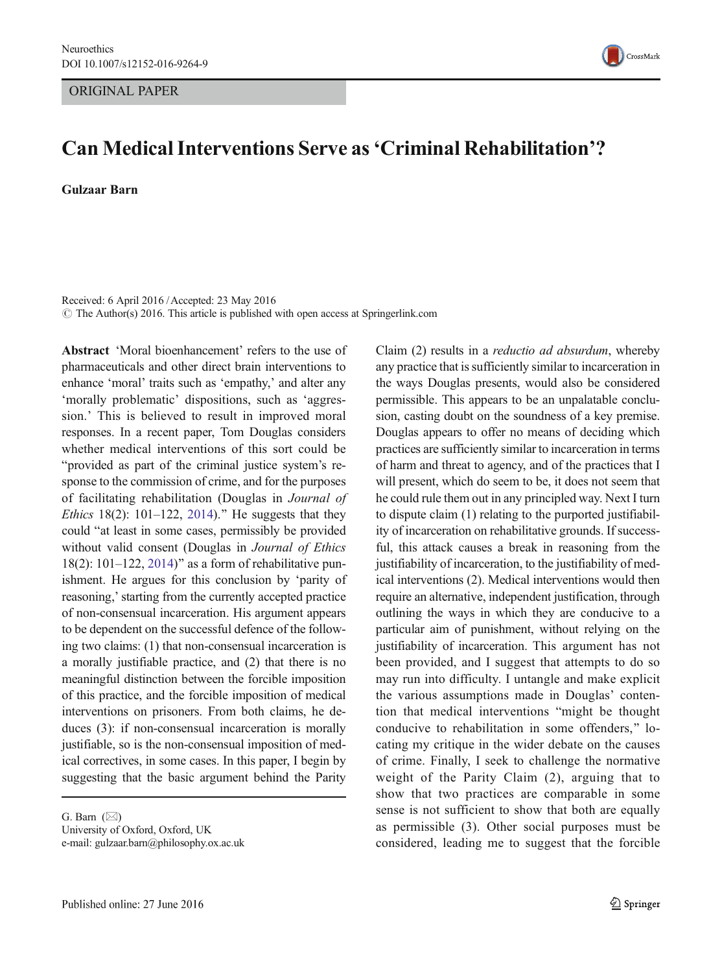#### ORIGINAL PAPER



### Can Medical Interventions Serve as'Criminal Rehabilitation'?

Gulzaar Barn

Received: 6 April 2016 /Accepted: 23 May 2016  $\odot$  The Author(s) 2016. This article is published with open access at Springerlink.com

Abstract 'Moral bioenhancement' refers to the use of pharmaceuticals and other direct brain interventions to enhance 'moral' traits such as 'empathy,' and alter any 'morally problematic' dispositions, such as 'aggression.' This is believed to result in improved moral responses. In a recent paper, Tom Douglas considers whether medical interventions of this sort could be "provided as part of the criminal justice system's response to the commission of crime, and for the purposes of facilitating rehabilitation (Douglas in Journal of *Ethics* 18(2): 101–122, [2014\)](#page-12-0).<sup>"</sup> He suggests that they could "at least in some cases, permissibly be provided without valid consent (Douglas in Journal of Ethics 18(2):  $101-122$ ,  $2014)$ " as a form of rehabilitative punishment. He argues for this conclusion by 'parity of reasoning,'starting from the currently accepted practice of non-consensual incarceration. His argument appears to be dependent on the successful defence of the following two claims: (1) that non-consensual incarceration is a morally justifiable practice, and (2) that there is no meaningful distinction between the forcible imposition of this practice, and the forcible imposition of medical interventions on prisoners. From both claims, he deduces (3): if non-consensual incarceration is morally justifiable, so is the non-consensual imposition of medical correctives, in some cases. In this paper, I begin by suggesting that the basic argument behind the Parity

Claim (2) results in a reductio ad absurdum, whereby any practice that is sufficiently similar to incarceration in the ways Douglas presents, would also be considered permissible. This appears to be an unpalatable conclusion, casting doubt on the soundness of a key premise. Douglas appears to offer no means of deciding which practices are sufficiently similar to incarceration in terms of harm and threat to agency, and of the practices that I will present, which do seem to be, it does not seem that he could rule them out in any principled way. Next I turn to dispute claim (1) relating to the purported justifiability of incarceration on rehabilitative grounds. If successful, this attack causes a break in reasoning from the justifiability of incarceration, to the justifiability of medical interventions (2). Medical interventions would then require an alternative, independent justification, through outlining the ways in which they are conducive to a particular aim of punishment, without relying on the justifiability of incarceration. This argument has not been provided, and I suggest that attempts to do so may run into difficulty. I untangle and make explicit the various assumptions made in Douglas' contention that medical interventions "might be thought conducive to rehabilitation in some offenders,^ locating my critique in the wider debate on the causes of crime. Finally, I seek to challenge the normative weight of the Parity Claim (2), arguing that to show that two practices are comparable in some sense is not sufficient to show that both are equally as permissible (3). Other social purposes must be considered, leading me to suggest that the forcible

G. Barn  $(\boxtimes)$ 

University of Oxford, Oxford, UK e-mail: gulzaar.barn@philosophy.ox.ac.uk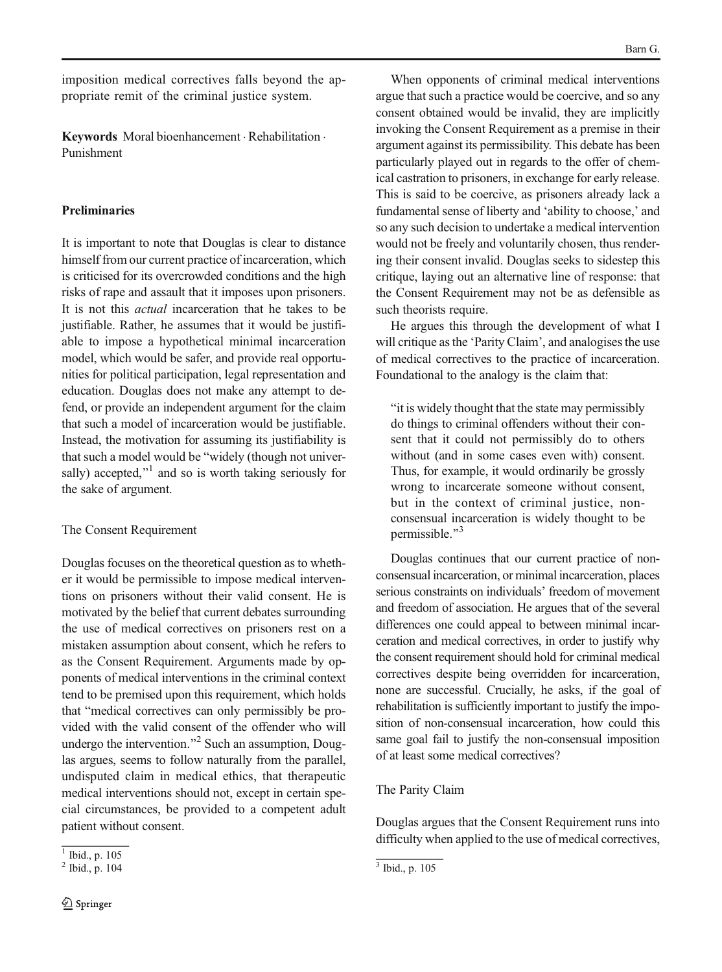imposition medical correctives falls beyond the appropriate remit of the criminal justice system.

Keywords Moral bioenhancement . Rehabilitation . Punishment

#### Preliminaries

It is important to note that Douglas is clear to distance himself from our current practice of incarceration, which is criticised for its overcrowded conditions and the high risks of rape and assault that it imposes upon prisoners. It is not this actual incarceration that he takes to be justifiable. Rather, he assumes that it would be justifiable to impose a hypothetical minimal incarceration model, which would be safer, and provide real opportunities for political participation, legal representation and education. Douglas does not make any attempt to defend, or provide an independent argument for the claim that such a model of incarceration would be justifiable. Instead, the motivation for assuming its justifiability is that such a model would be "widely (though not universally) accepted, $x<sup>1</sup>$  and so is worth taking seriously for the sake of argument.

#### The Consent Requirement

Douglas focuses on the theoretical question as to whether it would be permissible to impose medical interventions on prisoners without their valid consent. He is motivated by the belief that current debates surrounding the use of medical correctives on prisoners rest on a mistaken assumption about consent, which he refers to as the Consent Requirement. Arguments made by opponents of medical interventions in the criminal context tend to be premised upon this requirement, which holds that "medical correctives can only permissibly be provided with the valid consent of the offender who will undergo the intervention. $^{2}$  Such an assumption, Douglas argues, seems to follow naturally from the parallel, undisputed claim in medical ethics, that therapeutic medical interventions should not, except in certain special circumstances, be provided to a competent adult patient without consent.

When opponents of criminal medical interventions argue that such a practice would be coercive, and so any consent obtained would be invalid, they are implicitly invoking the Consent Requirement as a premise in their argument against its permissibility. This debate has been particularly played out in regards to the offer of chemical castration to prisoners, in exchange for early release. This is said to be coercive, as prisoners already lack a fundamental sense of liberty and 'ability to choose,' and so any such decision to undertake a medical intervention would not be freely and voluntarily chosen, thus rendering their consent invalid. Douglas seeks to sidestep this critique, laying out an alternative line of response: that the Consent Requirement may not be as defensible as such theorists require.

He argues this through the development of what I will critique as the 'Parity Claim', and analogises the use of medical correctives to the practice of incarceration. Foundational to the analogy is the claim that:

"it is widely thought that the state may permissibly" do things to criminal offenders without their consent that it could not permissibly do to others without (and in some cases even with) consent. Thus, for example, it would ordinarily be grossly wrong to incarcerate someone without consent, but in the context of criminal justice, nonconsensual incarceration is widely thought to be permissible."<sup>3</sup>

Douglas continues that our current practice of nonconsensual incarceration, or minimal incarceration, places serious constraints on individuals' freedom of movement and freedom of association. He argues that of the several differences one could appeal to between minimal incarceration and medical correctives, in order to justify why the consent requirement should hold for criminal medical correctives despite being overridden for incarceration, none are successful. Crucially, he asks, if the goal of rehabilitation is sufficiently important to justify the imposition of non-consensual incarceration, how could this same goal fail to justify the non-consensual imposition of at least some medical correctives?

#### The Parity Claim

Douglas argues that the Consent Requirement runs into difficulty when applied to the use of medical correctives,

 $\overline{1}$  Ibid., p. 105

 $2 \text{ Ibid., p. 104}$   $3 \text{ Ibid., p. 105}$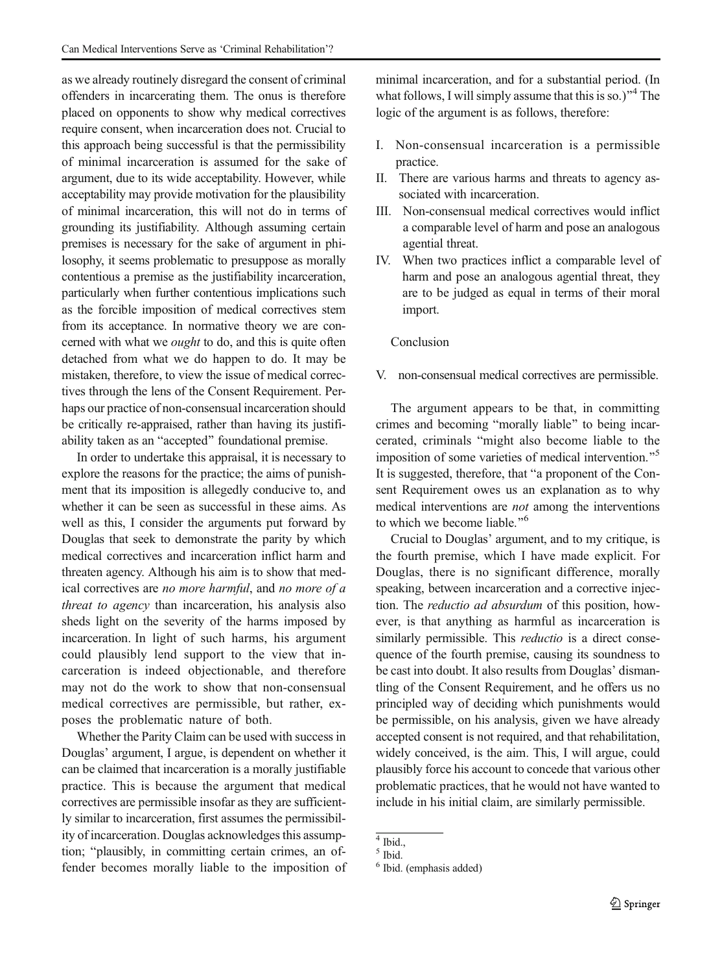as we already routinely disregard the consent of criminal offenders in incarcerating them. The onus is therefore placed on opponents to show why medical correctives require consent, when incarceration does not. Crucial to this approach being successful is that the permissibility of minimal incarceration is assumed for the sake of argument, due to its wide acceptability. However, while acceptability may provide motivation for the plausibility of minimal incarceration, this will not do in terms of grounding its justifiability. Although assuming certain premises is necessary for the sake of argument in philosophy, it seems problematic to presuppose as morally contentious a premise as the justifiability incarceration, particularly when further contentious implications such as the forcible imposition of medical correctives stem from its acceptance. In normative theory we are concerned with what we *ought* to do, and this is quite often detached from what we do happen to do. It may be mistaken, therefore, to view the issue of medical correctives through the lens of the Consent Requirement. Perhaps our practice of non-consensual incarceration should be critically re-appraised, rather than having its justifiability taken as an "accepted" foundational premise.

In order to undertake this appraisal, it is necessary to explore the reasons for the practice; the aims of punishment that its imposition is allegedly conducive to, and whether it can be seen as successful in these aims. As well as this, I consider the arguments put forward by Douglas that seek to demonstrate the parity by which medical correctives and incarceration inflict harm and threaten agency. Although his aim is to show that medical correctives are no more harmful, and no more of a threat to agency than incarceration, his analysis also sheds light on the severity of the harms imposed by incarceration. In light of such harms, his argument could plausibly lend support to the view that incarceration is indeed objectionable, and therefore may not do the work to show that non-consensual medical correctives are permissible, but rather, exposes the problematic nature of both.

Whether the Parity Claim can be used with success in Douglas' argument, I argue, is dependent on whether it can be claimed that incarceration is a morally justifiable practice. This is because the argument that medical correctives are permissible insofar as they are sufficiently similar to incarceration, first assumes the permissibility of incarceration. Douglas acknowledges this assumption; "plausibly, in committing certain crimes, an offender becomes morally liable to the imposition of minimal incarceration, and for a substantial period. (In what follows, I will simply assume that this is so.)<sup> $n<sup>4</sup>$  The</sup> logic of the argument is as follows, therefore:

- I. Non-consensual incarceration is a permissible practice.
- II. There are various harms and threats to agency associated with incarceration.
- III. Non-consensual medical correctives would inflict a comparable level of harm and pose an analogous agential threat.
- IV. When two practices inflict a comparable level of harm and pose an analogous agential threat, they are to be judged as equal in terms of their moral import.

#### Conclusion

V. non-consensual medical correctives are permissible.

The argument appears to be that, in committing crimes and becoming "morally liable" to being incarcerated, criminals "might also become liable to the imposition of some varieties of medical intervention.<sup>"></sup> It is suggested, therefore, that "a proponent of the Consent Requirement owes us an explanation as to why medical interventions are not among the interventions to which we become liable."<sup>6</sup>

Crucial to Douglas' argument, and to my critique, is the fourth premise, which I have made explicit. For Douglas, there is no significant difference, morally speaking, between incarceration and a corrective injection. The reductio ad absurdum of this position, however, is that anything as harmful as incarceration is similarly permissible. This *reductio* is a direct consequence of the fourth premise, causing its soundness to be cast into doubt. It also results from Douglas' dismantling of the Consent Requirement, and he offers us no principled way of deciding which punishments would be permissible, on his analysis, given we have already accepted consent is not required, and that rehabilitation, widely conceived, is the aim. This, I will argue, could plausibly force his account to concede that various other problematic practices, that he would not have wanted to include in his initial claim, are similarly permissible.

 $\overline{4}$  Ibid.,

 $^5$  Ibid.

<sup>6</sup> Ibid. (emphasis added)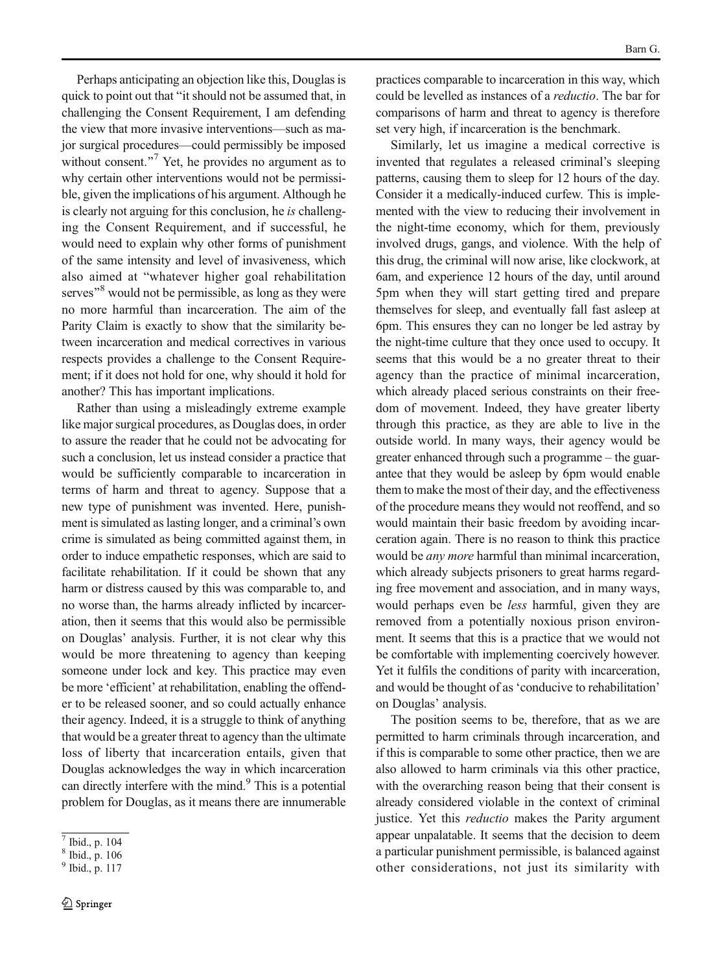Perhaps anticipating an objection like this, Douglas is quick to point out that "it should not be assumed that, in challenging the Consent Requirement, I am defending the view that more invasive interventions—such as major surgical procedures—could permissibly be imposed without consent. $^{77}$  Yet, he provides no argument as to why certain other interventions would not be permissible, given the implications of his argument. Although he is clearly not arguing for this conclusion, he is challenging the Consent Requirement, and if successful, he would need to explain why other forms of punishment of the same intensity and level of invasiveness, which also aimed at "whatever higher goal rehabilitation serves<sup>8</sup> would not be permissible, as long as they were no more harmful than incarceration. The aim of the Parity Claim is exactly to show that the similarity between incarceration and medical correctives in various respects provides a challenge to the Consent Requirement; if it does not hold for one, why should it hold for another? This has important implications.

Rather than using a misleadingly extreme example like major surgical procedures, as Douglas does, in order to assure the reader that he could not be advocating for such a conclusion, let us instead consider a practice that would be sufficiently comparable to incarceration in terms of harm and threat to agency. Suppose that a new type of punishment was invented. Here, punishment is simulated as lasting longer, and a criminal's own crime is simulated as being committed against them, in order to induce empathetic responses, which are said to facilitate rehabilitation. If it could be shown that any harm or distress caused by this was comparable to, and no worse than, the harms already inflicted by incarceration, then it seems that this would also be permissible on Douglas' analysis. Further, it is not clear why this would be more threatening to agency than keeping someone under lock and key. This practice may even be more 'efficient' at rehabilitation, enabling the offender to be released sooner, and so could actually enhance their agency. Indeed, it is a struggle to think of anything that would be a greater threat to agency than the ultimate loss of liberty that incarceration entails, given that Douglas acknowledges the way in which incarceration can directly interfere with the mind.<sup>9</sup> This is a potential problem for Douglas, as it means there are innumerable practices comparable to incarceration in this way, which could be levelled as instances of a reductio. The bar for comparisons of harm and threat to agency is therefore set very high, if incarceration is the benchmark.

Similarly, let us imagine a medical corrective is invented that regulates a released criminal's sleeping patterns, causing them to sleep for 12 hours of the day. Consider it a medically-induced curfew. This is implemented with the view to reducing their involvement in the night-time economy, which for them, previously involved drugs, gangs, and violence. With the help of this drug, the criminal will now arise, like clockwork, at 6am, and experience 12 hours of the day, until around 5pm when they will start getting tired and prepare themselves for sleep, and eventually fall fast asleep at 6pm. This ensures they can no longer be led astray by the night-time culture that they once used to occupy. It seems that this would be a no greater threat to their agency than the practice of minimal incarceration, which already placed serious constraints on their freedom of movement. Indeed, they have greater liberty through this practice, as they are able to live in the outside world. In many ways, their agency would be greater enhanced through such a programme – the guarantee that they would be asleep by 6pm would enable them to make the most of their day, and the effectiveness of the procedure means they would not reoffend, and so would maintain their basic freedom by avoiding incarceration again. There is no reason to think this practice would be *any more* harmful than minimal incarceration, which already subjects prisoners to great harms regarding free movement and association, and in many ways, would perhaps even be *less* harmful, given they are removed from a potentially noxious prison environment. It seems that this is a practice that we would not be comfortable with implementing coercively however. Yet it fulfils the conditions of parity with incarceration, and would be thought of as 'conducive to rehabilitation' on Douglas' analysis.

The position seems to be, therefore, that as we are permitted to harm criminals through incarceration, and if this is comparable to some other practice, then we are also allowed to harm criminals via this other practice, with the overarching reason being that their consent is already considered violable in the context of criminal justice. Yet this *reductio* makes the Parity argument appear unpalatable. It seems that the decision to deem a particular punishment permissible, is balanced against other considerations, not just its similarity with

<sup>7</sup> Ibid., p. 104

<sup>8</sup> Ibid., p. 106

<sup>9</sup> Ibid., p. 117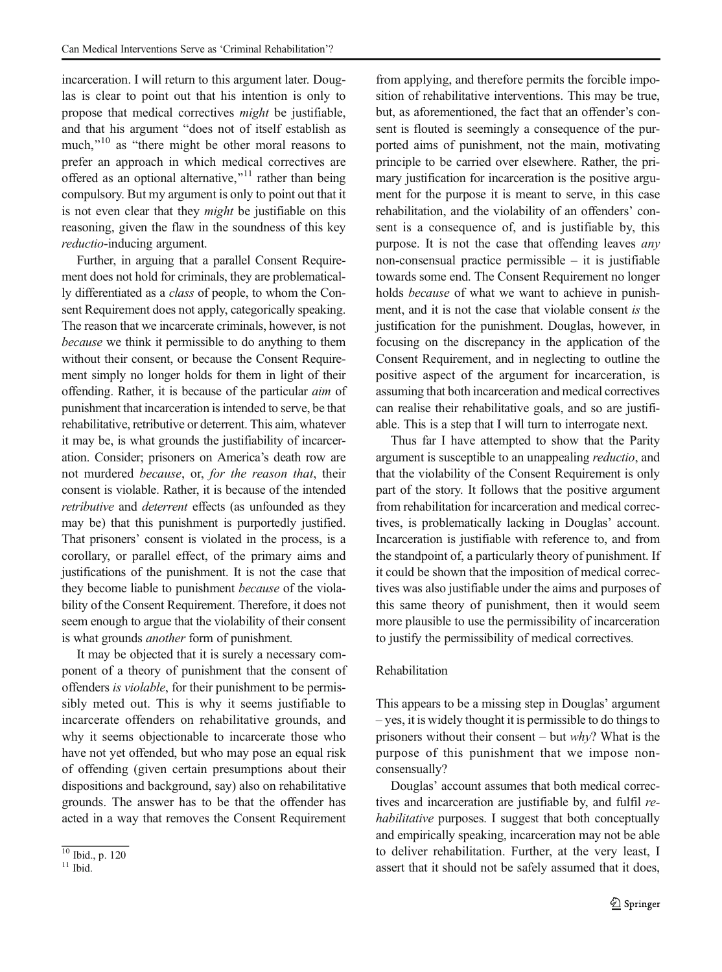incarceration. I will return to this argument later. Douglas is clear to point out that his intention is only to propose that medical correctives might be justifiable, and that his argument "does not of itself establish as much," $10$  as "there might be other moral reasons to prefer an approach in which medical correctives are offered as an optional alternative, $^{11}$  rather than being compulsory. But my argument is only to point out that it is not even clear that they might be justifiable on this reasoning, given the flaw in the soundness of this key reductio-inducing argument.

Further, in arguing that a parallel Consent Requirement does not hold for criminals, they are problematically differentiated as a class of people, to whom the Consent Requirement does not apply, categorically speaking. The reason that we incarcerate criminals, however, is not because we think it permissible to do anything to them without their consent, or because the Consent Requirement simply no longer holds for them in light of their offending. Rather, it is because of the particular aim of punishment that incarceration is intended to serve, be that rehabilitative, retributive or deterrent. This aim, whatever it may be, is what grounds the justifiability of incarceration. Consider; prisoners on America's death row are not murdered because, or, for the reason that, their consent is violable. Rather, it is because of the intended retributive and deterrent effects (as unfounded as they may be) that this punishment is purportedly justified. That prisoners' consent is violated in the process, is a corollary, or parallel effect, of the primary aims and justifications of the punishment. It is not the case that they become liable to punishment because of the violability of the Consent Requirement. Therefore, it does not seem enough to argue that the violability of their consent is what grounds another form of punishment.

It may be objected that it is surely a necessary component of a theory of punishment that the consent of offenders is violable, for their punishment to be permissibly meted out. This is why it seems justifiable to incarcerate offenders on rehabilitative grounds, and why it seems objectionable to incarcerate those who have not yet offended, but who may pose an equal risk of offending (given certain presumptions about their dispositions and background, say) also on rehabilitative grounds. The answer has to be that the offender has acted in a way that removes the Consent Requirement

from applying, and therefore permits the forcible imposition of rehabilitative interventions. This may be true, but, as aforementioned, the fact that an offender's consent is flouted is seemingly a consequence of the purported aims of punishment, not the main, motivating principle to be carried over elsewhere. Rather, the primary justification for incarceration is the positive argument for the purpose it is meant to serve, in this case rehabilitation, and the violability of an offenders' consent is a consequence of, and is justifiable by, this purpose. It is not the case that offending leaves any non-consensual practice permissible  $-$  it is justifiable towards some end. The Consent Requirement no longer holds because of what we want to achieve in punishment, and it is not the case that violable consent is the justification for the punishment. Douglas, however, in focusing on the discrepancy in the application of the Consent Requirement, and in neglecting to outline the positive aspect of the argument for incarceration, is assuming that both incarceration and medical correctives can realise their rehabilitative goals, and so are justifiable. This is a step that I will turn to interrogate next.

Thus far I have attempted to show that the Parity argument is susceptible to an unappealing reductio, and that the violability of the Consent Requirement is only part of the story. It follows that the positive argument from rehabilitation for incarceration and medical correctives, is problematically lacking in Douglas' account. Incarceration is justifiable with reference to, and from the standpoint of, a particularly theory of punishment. If it could be shown that the imposition of medical correctives was also justifiable under the aims and purposes of this same theory of punishment, then it would seem more plausible to use the permissibility of incarceration to justify the permissibility of medical correctives.

#### Rehabilitation

This appears to be a missing step in Douglas' argument – yes, it is widely thought it is permissible to do things to prisoners without their consent – but why? What is the purpose of this punishment that we impose nonconsensually?

Douglas' account assumes that both medical correctives and incarceration are justifiable by, and fulfil rehabilitative purposes. I suggest that both conceptually and empirically speaking, incarceration may not be able to deliver rehabilitation. Further, at the very least, I assert that it should not be safely assumed that it does,

 $\frac{10}{11}$  Ibid., p. 120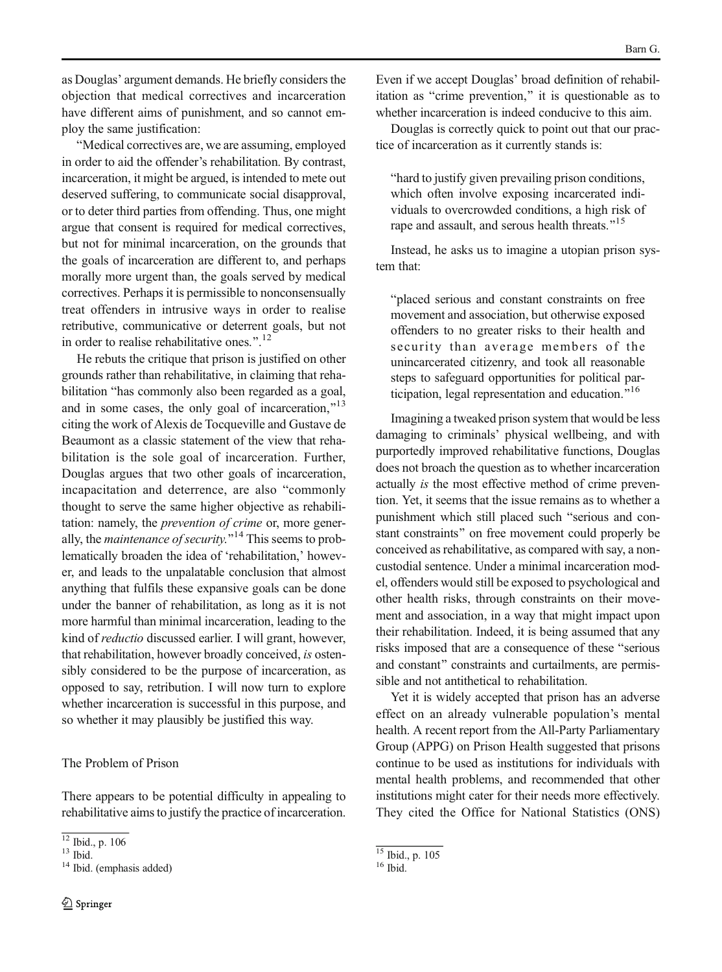as Douglas' argument demands. He briefly considers the objection that medical correctives and incarceration have different aims of punishment, and so cannot employ the same justification:

"Medical correctives are, we are assuming, employed in order to aid the offender's rehabilitation. By contrast, incarceration, it might be argued, is intended to mete out deserved suffering, to communicate social disapproval, or to deter third parties from offending. Thus, one might argue that consent is required for medical correctives, but not for minimal incarceration, on the grounds that the goals of incarceration are different to, and perhaps morally more urgent than, the goals served by medical correctives. Perhaps it is permissible to nonconsensually treat offenders in intrusive ways in order to realise retributive, communicative or deterrent goals, but not in order to realise rehabilitative ones.". $^{12}$ 

He rebuts the critique that prison is justified on other grounds rather than rehabilitative, in claiming that rehabilitation "has commonly also been regarded as a goal, and in some cases, the only goal of incarceration,"<sup>13</sup> citing the work of Alexis de Tocqueville and Gustave de Beaumont as a classic statement of the view that rehabilitation is the sole goal of incarceration. Further, Douglas argues that two other goals of incarceration, incapacitation and deterrence, are also "commonly thought to serve the same higher objective as rehabilitation: namely, the prevention of crime or, more generally, the *maintenance of security*.<sup> $14$ </sup> This seems to problematically broaden the idea of 'rehabilitation,' however, and leads to the unpalatable conclusion that almost anything that fulfils these expansive goals can be done under the banner of rehabilitation, as long as it is not more harmful than minimal incarceration, leading to the kind of reductio discussed earlier. I will grant, however, that rehabilitation, however broadly conceived, is ostensibly considered to be the purpose of incarceration, as opposed to say, retribution. I will now turn to explore whether incarceration is successful in this purpose, and so whether it may plausibly be justified this way.

#### The Problem of Prison

There appears to be potential difficulty in appealing to rehabilitative aims to justify the practice of incarceration.

Even if we accept Douglas' broad definition of rehabilitation as "crime prevention," it is questionable as to whether incarceration is indeed conducive to this aim.

Douglas is correctly quick to point out that our practice of incarceration as it currently stands is:

Bhard to justify given prevailing prison conditions, which often involve exposing incarcerated individuals to overcrowded conditions, a high risk of rape and assault, and serous health threats."<sup>15</sup>

Instead, he asks us to imagine a utopian prison system that:

"placed serious and constant constraints on free movement and association, but otherwise exposed offenders to no greater risks to their health and security than average members of the unincarcerated citizenry, and took all reasonable steps to safeguard opportunities for political participation, legal representation and education."<sup>16</sup>

Imagining a tweaked prison system that would be less damaging to criminals' physical wellbeing, and with purportedly improved rehabilitative functions, Douglas does not broach the question as to whether incarceration actually is the most effective method of crime prevention. Yet, it seems that the issue remains as to whether a punishment which still placed such "serious and constant constraints" on free movement could properly be conceived as rehabilitative, as compared with say, a noncustodial sentence. Under a minimal incarceration model, offenders would still be exposed to psychological and other health risks, through constraints on their movement and association, in a way that might impact upon their rehabilitation. Indeed, it is being assumed that any risks imposed that are a consequence of these "serious" and constant" constraints and curtailments, are permissible and not antithetical to rehabilitation.

Yet it is widely accepted that prison has an adverse effect on an already vulnerable population's mental health. A recent report from the All-Party Parliamentary Group (APPG) on Prison Health suggested that prisons continue to be used as institutions for individuals with mental health problems, and recommended that other institutions might cater for their needs more effectively. They cited the Office for National Statistics (ONS)

 $\frac{12 \text{ Ibid., p. 106}}{13 \text{ Ibid.}}$ <br> $\frac{14 \text{ Ibid.}}{14 \text{ Ibid.}}$  (emphasis added)

 $\frac{15}{16}$  Ibid., p. 105<br><sup>16</sup> Ibid.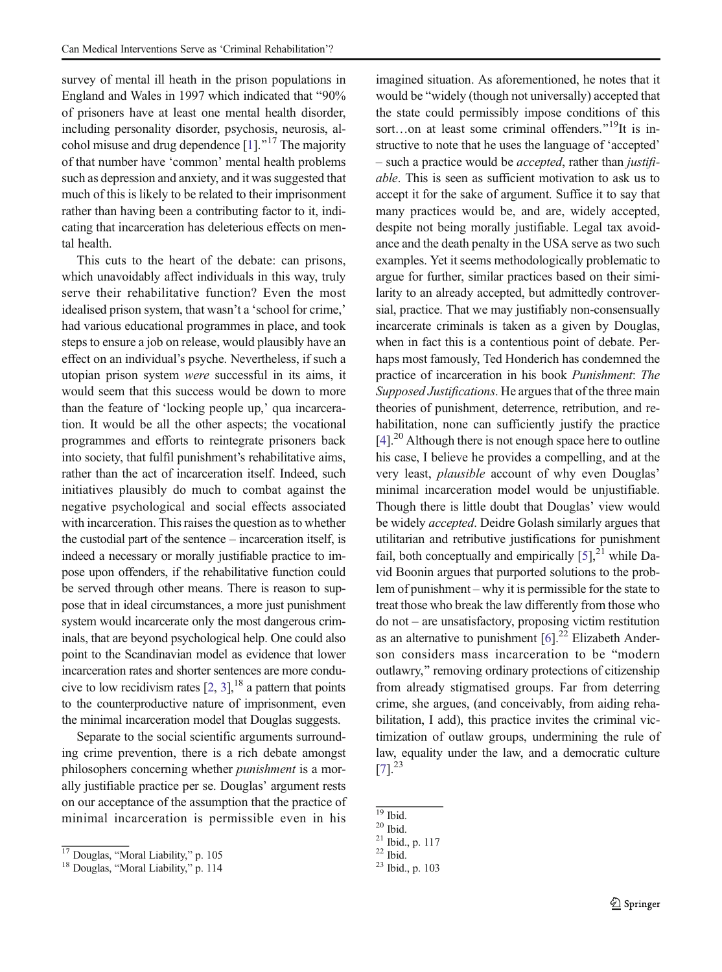survey of mental ill heath in the prison populations in England and Wales in 1997 which indicated that  $90\%$ of prisoners have at least one mental health disorder, including personality disorder, psychosis, neurosis, alcohol misuse and drug dependence  $[1]$  $[1]$ .<sup> $n17$ </sup> The majority of that number have 'common' mental health problems such as depression and anxiety, and it was suggested that much of this is likely to be related to their imprisonment rather than having been a contributing factor to it, indicating that incarceration has deleterious effects on mental health.

This cuts to the heart of the debate: can prisons, which unavoidably affect individuals in this way, truly serve their rehabilitative function? Even the most idealised prison system, that wasn't a 'school for crime,' had various educational programmes in place, and took steps to ensure a job on release, would plausibly have an effect on an individual's psyche. Nevertheless, if such a utopian prison system were successful in its aims, it would seem that this success would be down to more than the feature of 'locking people up,' qua incarceration. It would be all the other aspects; the vocational programmes and efforts to reintegrate prisoners back into society, that fulfil punishment's rehabilitative aims, rather than the act of incarceration itself. Indeed, such initiatives plausibly do much to combat against the negative psychological and social effects associated with incarceration. This raises the question as to whether the custodial part of the sentence – incarceration itself, is indeed a necessary or morally justifiable practice to impose upon offenders, if the rehabilitative function could be served through other means. There is reason to suppose that in ideal circumstances, a more just punishment system would incarcerate only the most dangerous criminals, that are beyond psychological help. One could also point to the Scandinavian model as evidence that lower incarceration rates and shorter sentences are more conducive to low recidivism rates  $[2, 3]$  $[2, 3]$  $[2, 3]$ ,<sup>18</sup> a pattern that points to the counterproductive nature of imprisonment, even the minimal incarceration model that Douglas suggests.

Separate to the social scientific arguments surrounding crime prevention, there is a rich debate amongst philosophers concerning whether punishment is a morally justifiable practice per se. Douglas' argument rests on our acceptance of the assumption that the practice of minimal incarceration is permissible even in his

imagined situation. As aforementioned, he notes that it would be "widely (though not universally) accepted that the state could permissibly impose conditions of this sort…on at least some criminal offenders.<sup>"19</sup>It is instructive to note that he uses the language of 'accepted' – such a practice would be accepted, rather than justifiable. This is seen as sufficient motivation to ask us to accept it for the sake of argument. Suffice it to say that many practices would be, and are, widely accepted, despite not being morally justifiable. Legal tax avoidance and the death penalty in the USA serve as two such examples. Yet it seems methodologically problematic to argue for further, similar practices based on their similarity to an already accepted, but admittedly controversial, practice. That we may justifiably non-consensually incarcerate criminals is taken as a given by Douglas, when in fact this is a contentious point of debate. Perhaps most famously, Ted Honderich has condemned the practice of incarceration in his book Punishment: The Supposed Justifications. He argues that of the three main theories of punishment, deterrence, retribution, and rehabilitation, none can sufficiently justify the practice  $[4]$ <sup>20</sup> Although there is not enough space here to outline his case, I believe he provides a compelling, and at the very least, plausible account of why even Douglas' minimal incarceration model would be unjustifiable. Though there is little doubt that Douglas' view would be widely accepted. Deidre Golash similarly argues that utilitarian and retributive justifications for punishment fail, both conceptually and empirically  $[5]$ ,<sup>21</sup> while David Boonin argues that purported solutions to the problem of punishment – why it is permissible for the state to treat those who break the law differently from those who do not – are unsatisfactory, proposing victim restitution as an alternative to punishment  $[6]$ <sup>22</sup> Elizabeth Anderson considers mass incarceration to be "modern outlawry," removing ordinary protections of citizenship from already stigmatised groups. Far from deterring crime, she argues, (and conceivably, from aiding rehabilitation, I add), this practice invites the criminal victimization of outlaw groups, undermining the rule of law, equality under the law, and a democratic culture  $[7]$ <sup>23</sup>

 $\frac{17}{18}$  Douglas, "Moral Liability," p. 105<br><sup>18</sup> Douglas, "Moral Liability," p. 114

 $\frac{19}{20}$  Ibid.<br>
<sup>21</sup> Ibid., p. 117<br>
<sup>22</sup> Ibid.<br>
<sup>23</sup> Ibid., p. 103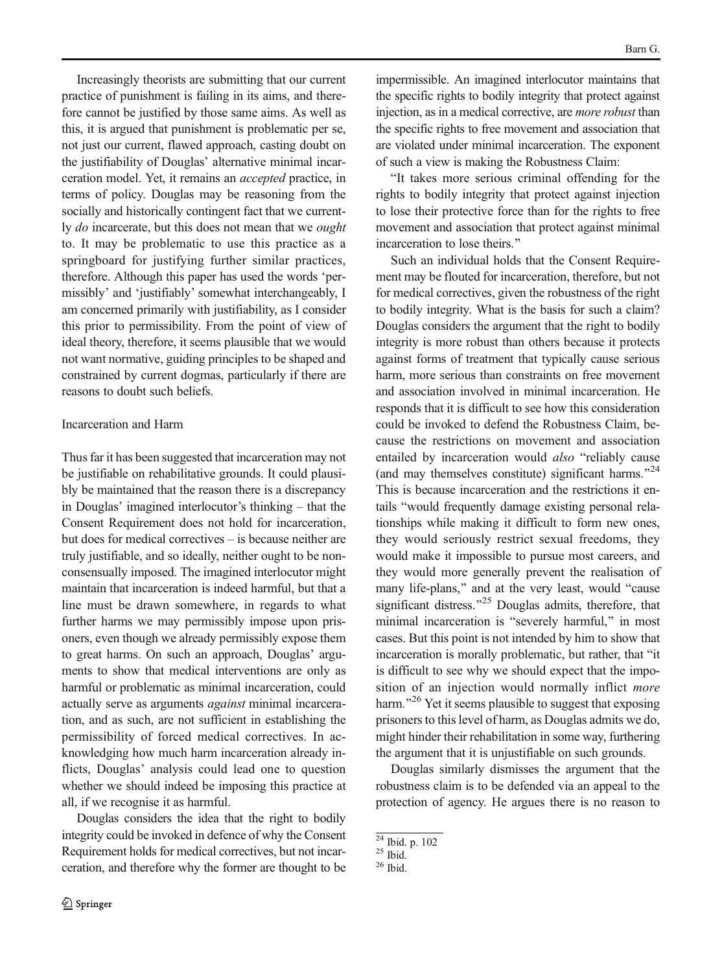Increasingly theorists are submitting that our current practice of punishment is failing in its aims, and therefore cannot be justified by those same aims. As well as this, it is argued that punishment is problematic per se, not just our current, flawed approach, casting doubt on the justifiability of Douglas' alternative minimal incarceration model. Yet, it remains an accepted practice, in terms of policy. Douglas may be reasoning from the socially and historically contingent fact that we currently do incarcerate, but this does not mean that we ought to. It may be problematic to use this practice as a springboard for justifying further similar practices, therefore. Although this paper has used the words 'permissibly' and 'justifiably' somewhat interchangeably, I am concerned primarily with justifiability, as I consider this prior to permissibility. From the point of view of ideal theory, therefore, it seems plausible that we would not want normative, guiding principles to be shaped and constrained by current dogmas, particularly if there are reasons to doubt such beliefs.

#### Incarceration and Harm

Thus far it has been suggested that incarceration may not be justifiable on rehabilitative grounds. It could plausibly be maintained that the reason there is a discrepancy in Douglas' imagined interlocutor's thinking – that the Consent Requirement does not hold for incarceration, but does for medical correctives – is because neither are truly justifiable, and so ideally, neither ought to be nonconsensually imposed. The imagined interlocutor might maintain that incarceration is indeed harmful, but that a line must be drawn somewhere, in regards to what further harms we may permissibly impose upon prisoners, even though we already permissibly expose them to great harms. On such an approach, Douglas' arguments to show that medical interventions are only as harmful or problematic as minimal incarceration, could actually serve as arguments against minimal incarceration, and as such, are not sufficient in establishing the permissibility of forced medical correctives. In acknowledging how much harm incarceration already inflicts, Douglas' analysis could lead one to question whether we should indeed be imposing this practice at all, if we recognise it as harmful.

Douglas considers the idea that the right to bodily integrity could be invoked in defence of why the Consent Requirement holds for medical correctives, but not incarceration, and therefore why the former are thought to be impermissible. An imagined interlocutor maintains that the specific rights to bodily integrity that protect against injection, as in a medical corrective, are more robust than the specific rights to free movement and association that are violated under minimal incarceration. The exponent of such a view is making the Robustness Claim:

BIt takes more serious criminal offending for the rights to bodily integrity that protect against injection to lose their protective force than for the rights to free movement and association that protect against minimal incarceration to lose theirs."

Such an individual holds that the Consent Requirement may be flouted for incarceration, therefore, but not for medical correctives, given the robustness of the right to bodily integrity. What is the basis for such a claim? Douglas considers the argument that the right to bodily integrity is more robust than others because it protects against forms of treatment that typically cause serious harm, more serious than constraints on free movement and association involved in minimal incarceration. He responds that it is difficult to see how this consideration could be invoked to defend the Robustness Claim, because the restrictions on movement and association entailed by incarceration would *also* "reliably cause (and may themselves constitute) significant harms. $^{24}$ This is because incarceration and the restrictions it entails "would frequently damage existing personal relationships while making it difficult to form new ones, they would seriously restrict sexual freedoms, they would make it impossible to pursue most careers, and they would more generally prevent the realisation of many life-plans," and at the very least, would "cause significant distress."<sup>25</sup> Douglas admits, therefore, that minimal incarceration is "severely harmful," in most cases. But this point is not intended by him to show that incarceration is morally problematic, but rather, that "it is difficult to see why we should expect that the imposition of an injection would normally inflict *more* harm.<sup> $26$ </sup> Yet it seems plausible to suggest that exposing prisoners to this level of harm, as Douglas admits we do, might hinder their rehabilitation in some way, furthering the argument that it is unjustifiable on such grounds.

Douglas similarly dismisses the argument that the robustness claim is to be defended via an appeal to the protection of agency. He argues there is no reason to

 $\frac{24 \text{ Ibid.}}{25 \text{ Ibid.}}$  p. 102<br> $\frac{25 \text{ Ibid.}}{26 \text{ Ibid.}}$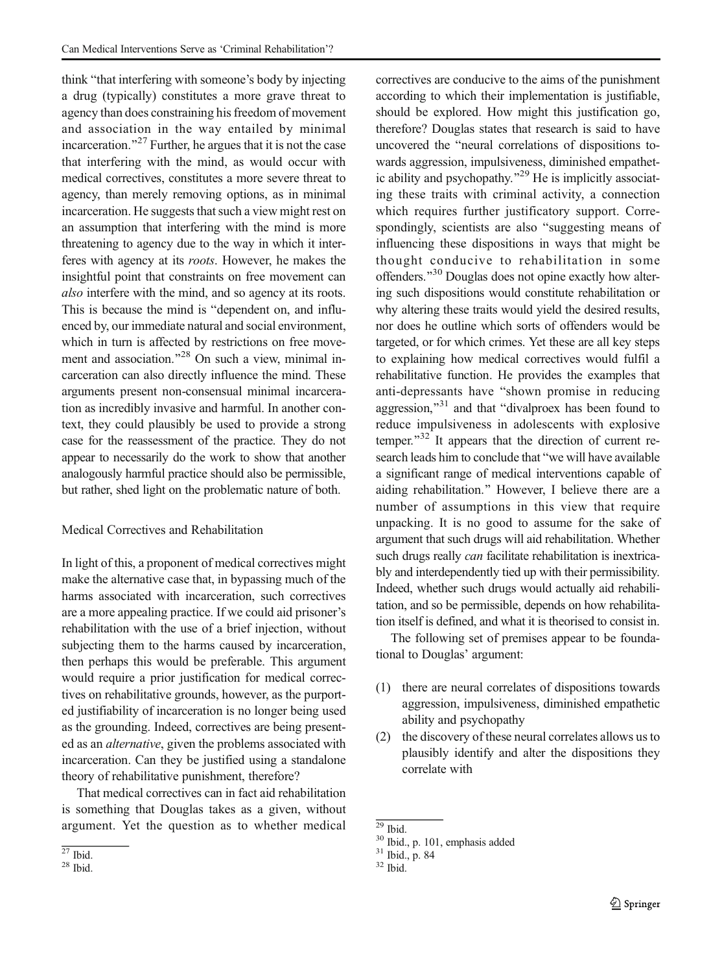think "that interfering with someone's body by injecting a drug (typically) constitutes a more grave threat to agency than does constraining his freedom of movement and association in the way entailed by minimal incarceration.<sup> $27$ </sup> Further, he argues that it is not the case that interfering with the mind, as would occur with medical correctives, constitutes a more severe threat to agency, than merely removing options, as in minimal incarceration. He suggests that such a view might rest on an assumption that interfering with the mind is more threatening to agency due to the way in which it interferes with agency at its roots. However, he makes the insightful point that constraints on free movement can also interfere with the mind, and so agency at its roots. This is because the mind is "dependent on, and influenced by, our immediate natural and social environment, which in turn is affected by restrictions on free movement and association. $^{28}$  On such a view, minimal incarceration can also directly influence the mind. These arguments present non-consensual minimal incarceration as incredibly invasive and harmful. In another context, they could plausibly be used to provide a strong case for the reassessment of the practice. They do not appear to necessarily do the work to show that another analogously harmful practice should also be permissible, but rather, shed light on the problematic nature of both.

#### Medical Correctives and Rehabilitation

In light of this, a proponent of medical correctives might make the alternative case that, in bypassing much of the harms associated with incarceration, such correctives are a more appealing practice. If we could aid prisoner's rehabilitation with the use of a brief injection, without subjecting them to the harms caused by incarceration, then perhaps this would be preferable. This argument would require a prior justification for medical correctives on rehabilitative grounds, however, as the purported justifiability of incarceration is no longer being used as the grounding. Indeed, correctives are being presented as an alternative, given the problems associated with incarceration. Can they be justified using a standalone theory of rehabilitative punishment, therefore?

That medical correctives can in fact aid rehabilitation is something that Douglas takes as a given, without argument. Yet the question as to whether medical

correctives are conducive to the aims of the punishment according to which their implementation is justifiable, should be explored. How might this justification go, therefore? Douglas states that research is said to have uncovered the "neural correlations of dispositions towards aggression, impulsiveness, diminished empathetic ability and psychopathy. $^{29}$  He is implicitly associating these traits with criminal activity, a connection which requires further justificatory support. Correspondingly, scientists are also "suggesting means of influencing these dispositions in ways that might be thought conducive to rehabilitation in some offenders.<sup>"30</sup> Douglas does not opine exactly how altering such dispositions would constitute rehabilitation or why altering these traits would yield the desired results, nor does he outline which sorts of offenders would be targeted, or for which crimes. Yet these are all key steps to explaining how medical correctives would fulfil a rehabilitative function. He provides the examples that anti-depressants have "shown promise in reducing aggression," $31$  and that "divalproex has been found to reduce impulsiveness in adolescents with explosive temper. $132$  It appears that the direction of current research leads him to conclude that "we will have available a significant range of medical interventions capable of aiding rehabilitation.^ However, I believe there are a number of assumptions in this view that require unpacking. It is no good to assume for the sake of argument that such drugs will aid rehabilitation. Whether such drugs really *can* facilitate rehabilitation is inextricably and interdependently tied up with their permissibility. Indeed, whether such drugs would actually aid rehabilitation, and so be permissible, depends on how rehabilitation itself is defined, and what it is theorised to consist in.

The following set of premises appear to be foundational to Douglas' argument:

- (1) there are neural correlates of dispositions towards aggression, impulsiveness, diminished empathetic ability and psychopathy
- (2) the discovery of these neural correlates allows us to plausibly identify and alter the dispositions they correlate with

 $\frac{27}{28}$  Ibid.

<sup>&</sup>lt;sup>29</sup> Ibid.<br><sup>30</sup> Ibid., p. 101, emphasis added <sup>31</sup> Ibid., p. 84<br><sup>32</sup> Ibid.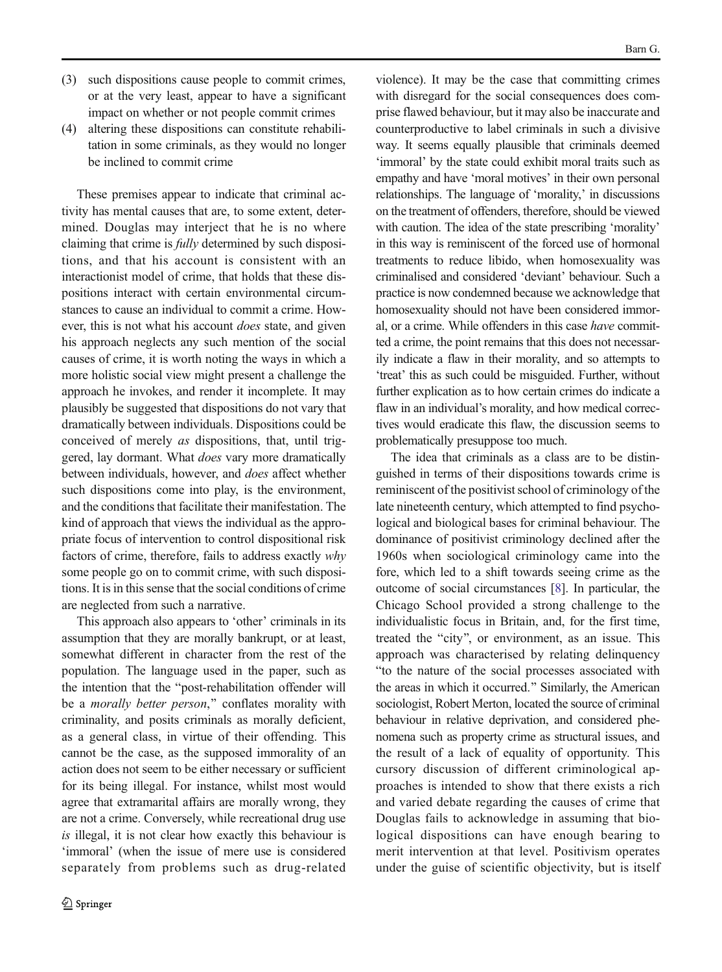- (3) such dispositions cause people to commit crimes, or at the very least, appear to have a significant impact on whether or not people commit crimes
- (4) altering these dispositions can constitute rehabilitation in some criminals, as they would no longer be inclined to commit crime

These premises appear to indicate that criminal activity has mental causes that are, to some extent, determined. Douglas may interject that he is no where claiming that crime is fully determined by such dispositions, and that his account is consistent with an interactionist model of crime, that holds that these dispositions interact with certain environmental circumstances to cause an individual to commit a crime. However, this is not what his account does state, and given his approach neglects any such mention of the social causes of crime, it is worth noting the ways in which a more holistic social view might present a challenge the approach he invokes, and render it incomplete. It may plausibly be suggested that dispositions do not vary that dramatically between individuals. Dispositions could be conceived of merely as dispositions, that, until triggered, lay dormant. What *does* vary more dramatically between individuals, however, and does affect whether such dispositions come into play, is the environment, and the conditions that facilitate their manifestation. The kind of approach that views the individual as the appropriate focus of intervention to control dispositional risk factors of crime, therefore, fails to address exactly why some people go on to commit crime, with such dispositions. It is in this sense that the social conditions of crime are neglected from such a narrative.

This approach also appears to 'other' criminals in its assumption that they are morally bankrupt, or at least, somewhat different in character from the rest of the population. The language used in the paper, such as the intention that the "post-rehabilitation offender will be a morally better person," conflates morality with criminality, and posits criminals as morally deficient, as a general class, in virtue of their offending. This cannot be the case, as the supposed immorality of an action does not seem to be either necessary or sufficient for its being illegal. For instance, whilst most would agree that extramarital affairs are morally wrong, they are not a crime. Conversely, while recreational drug use is illegal, it is not clear how exactly this behaviour is 'immoral' (when the issue of mere use is considered separately from problems such as drug-related violence). It may be the case that committing crimes with disregard for the social consequences does comprise flawed behaviour, but it may also be inaccurate and counterproductive to label criminals in such a divisive way. It seems equally plausible that criminals deemed 'immoral' by the state could exhibit moral traits such as empathy and have 'moral motives' in their own personal relationships. The language of 'morality,' in discussions on the treatment of offenders, therefore, should be viewed with caution. The idea of the state prescribing 'morality' in this way is reminiscent of the forced use of hormonal treatments to reduce libido, when homosexuality was criminalised and considered 'deviant' behaviour. Such a practice is now condemned because we acknowledge that homosexuality should not have been considered immoral, or a crime. While offenders in this case have committed a crime, the point remains that this does not necessarily indicate a flaw in their morality, and so attempts to 'treat' this as such could be misguided. Further, without further explication as to how certain crimes do indicate a flaw in an individual's morality, and how medical correctives would eradicate this flaw, the discussion seems to problematically presuppose too much.

The idea that criminals as a class are to be distinguished in terms of their dispositions towards crime is reminiscent of the positivist school of criminology of the late nineteenth century, which attempted to find psychological and biological bases for criminal behaviour. The dominance of positivist criminology declined after the 1960s when sociological criminology came into the fore, which led to a shift towards seeing crime as the outcome of social circumstances [[8](#page-12-0)]. In particular, the Chicago School provided a strong challenge to the individualistic focus in Britain, and, for the first time, treated the "city", or environment, as an issue. This approach was characterised by relating delinquency "to the nature of the social processes associated with the areas in which it occurred." Similarly, the American sociologist, Robert Merton, located the source of criminal behaviour in relative deprivation, and considered phenomena such as property crime as structural issues, and the result of a lack of equality of opportunity. This cursory discussion of different criminological approaches is intended to show that there exists a rich and varied debate regarding the causes of crime that Douglas fails to acknowledge in assuming that biological dispositions can have enough bearing to merit intervention at that level. Positivism operates under the guise of scientific objectivity, but is itself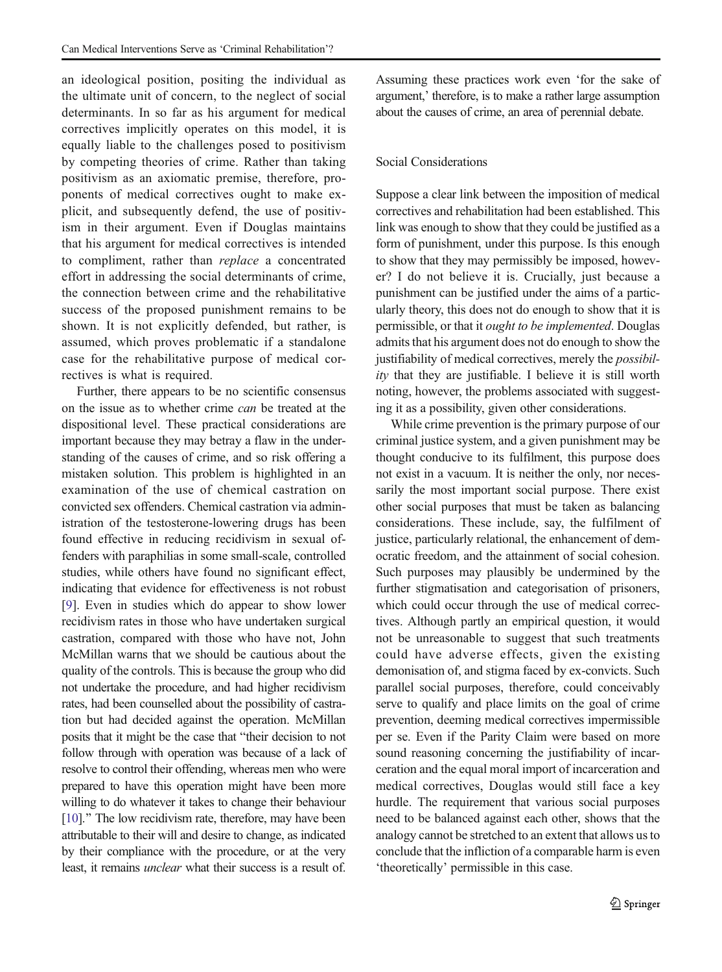an ideological position, positing the individual as the ultimate unit of concern, to the neglect of social determinants. In so far as his argument for medical correctives implicitly operates on this model, it is equally liable to the challenges posed to positivism by competing theories of crime. Rather than taking positivism as an axiomatic premise, therefore, proponents of medical correctives ought to make explicit, and subsequently defend, the use of positivism in their argument. Even if Douglas maintains that his argument for medical correctives is intended to compliment, rather than replace a concentrated effort in addressing the social determinants of crime, the connection between crime and the rehabilitative success of the proposed punishment remains to be shown. It is not explicitly defended, but rather, is assumed, which proves problematic if a standalone case for the rehabilitative purpose of medical correctives is what is required.

Further, there appears to be no scientific consensus on the issue as to whether crime can be treated at the dispositional level. These practical considerations are important because they may betray a flaw in the understanding of the causes of crime, and so risk offering a mistaken solution. This problem is highlighted in an examination of the use of chemical castration on convicted sex offenders. Chemical castration via administration of the testosterone-lowering drugs has been found effective in reducing recidivism in sexual offenders with paraphilias in some small-scale, controlled studies, while others have found no significant effect, indicating that evidence for effectiveness is not robust [[9\]](#page-12-0). Even in studies which do appear to show lower recidivism rates in those who have undertaken surgical castration, compared with those who have not, John McMillan warns that we should be cautious about the quality of the controls. This is because the group who did not undertake the procedure, and had higher recidivism rates, had been counselled about the possibility of castration but had decided against the operation. McMillan posits that it might be the case that "their decision to not follow through with operation was because of a lack of resolve to control their offending, whereas men who were prepared to have this operation might have been more willing to do whatever it takes to change their behaviour [[10](#page-12-0)]." The low recidivism rate, therefore, may have been attributable to their will and desire to change, as indicated by their compliance with the procedure, or at the very least, it remains unclear what their success is a result of.

Assuming these practices work even 'for the sake of argument,' therefore, is to make a rather large assumption about the causes of crime, an area of perennial debate.

#### Social Considerations

Suppose a clear link between the imposition of medical correctives and rehabilitation had been established. This link was enough to show that they could be justified as a form of punishment, under this purpose. Is this enough to show that they may permissibly be imposed, however? I do not believe it is. Crucially, just because a punishment can be justified under the aims of a particularly theory, this does not do enough to show that it is permissible, or that it ought to be implemented. Douglas admits that his argument does not do enough to show the justifiability of medical correctives, merely the *possibil*ity that they are justifiable. I believe it is still worth noting, however, the problems associated with suggesting it as a possibility, given other considerations.

While crime prevention is the primary purpose of our criminal justice system, and a given punishment may be thought conducive to its fulfilment, this purpose does not exist in a vacuum. It is neither the only, nor necessarily the most important social purpose. There exist other social purposes that must be taken as balancing considerations. These include, say, the fulfilment of justice, particularly relational, the enhancement of democratic freedom, and the attainment of social cohesion. Such purposes may plausibly be undermined by the further stigmatisation and categorisation of prisoners, which could occur through the use of medical correctives. Although partly an empirical question, it would not be unreasonable to suggest that such treatments could have adverse effects, given the existing demonisation of, and stigma faced by ex-convicts. Such parallel social purposes, therefore, could conceivably serve to qualify and place limits on the goal of crime prevention, deeming medical correctives impermissible per se. Even if the Parity Claim were based on more sound reasoning concerning the justifiability of incarceration and the equal moral import of incarceration and medical correctives, Douglas would still face a key hurdle. The requirement that various social purposes need to be balanced against each other, shows that the analogy cannot be stretched to an extent that allows us to conclude that the infliction of a comparable harm is even 'theoretically' permissible in this case.